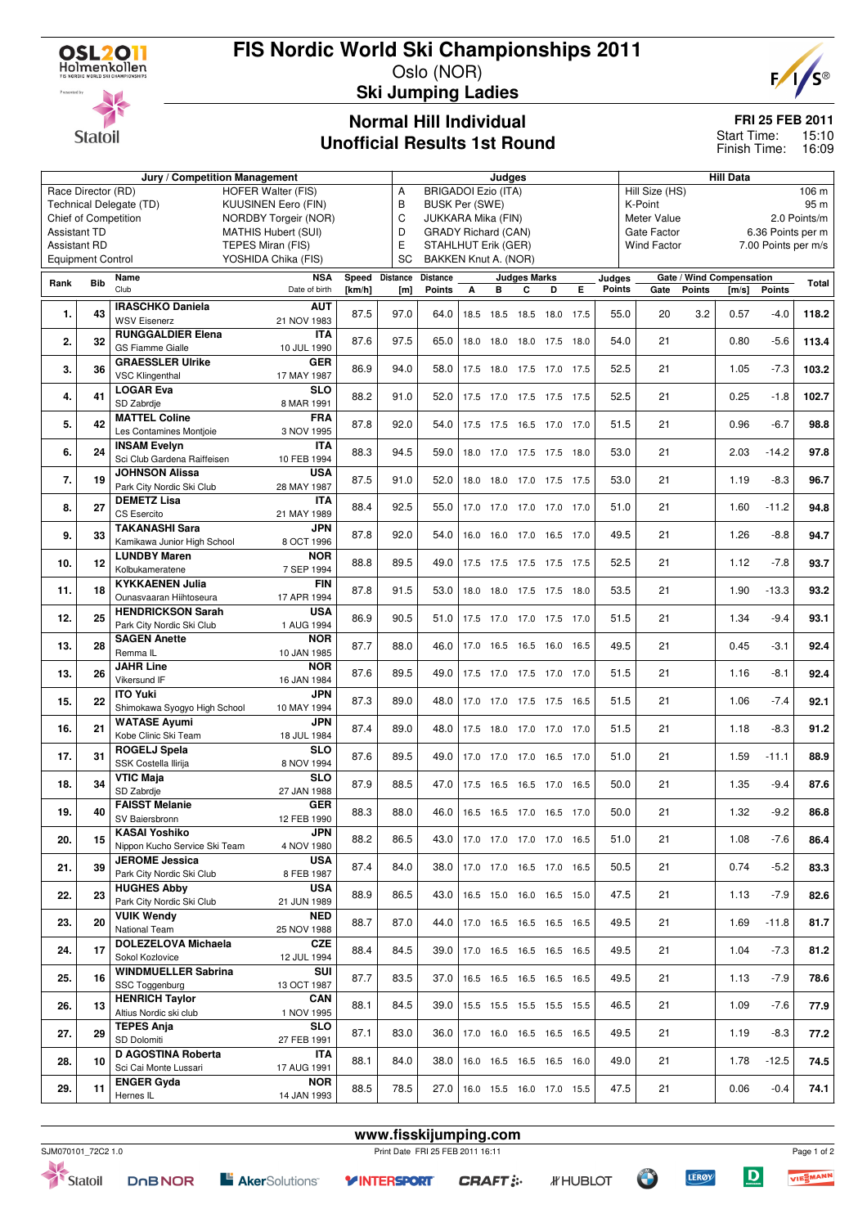## **FIS Nordic World Ski Championships 2011**

Oslo (NOR) **Ski Jumping Ladies**



**Statoil** 

### **Normal Hill Individual Unofficial Results 1st Round**

#### **FRI 25 FEB 2011**

15:10 Finish Time: 16:09 Start Time:

|                                                   |                                                | Judges                        |                     |        |                |                            |                          |   | <b>Hill Data</b>    |                          |   |        |                                  |               |                          |                     |       |  |
|---------------------------------------------------|------------------------------------------------|-------------------------------|---------------------|--------|----------------|----------------------------|--------------------------|---|---------------------|--------------------------|---|--------|----------------------------------|---------------|--------------------------|---------------------|-------|--|
| Race Director (RD)<br><b>HOFER Walter (FIS)</b>   |                                                |                               |                     |        | А              | <b>BRIGADOI Ezio (ITA)</b> |                          |   |                     |                          |   |        | Hill Size (HS)<br>106 m          |               |                          |                     |       |  |
|                                                   | Technical Delegate (TD)<br>KUUSINEN Eero (FIN) |                               |                     |        | B              | <b>BUSK Per (SWE)</b>      |                          |   |                     |                          |   |        | K-Point<br>95 m                  |               |                          |                     |       |  |
| Chief of Competition<br>NORDBY Torgeir (NOR)      |                                                |                               |                     |        |                | C<br>JUKKARA Mika (FIN)    |                          |   |                     |                          |   |        | Meter Value<br>2.0 Points/m      |               |                          |                     |       |  |
| <b>Assistant TD</b><br><b>MATHIS Hubert (SUI)</b> |                                                |                               |                     |        | D              | <b>GRADY Richard (CAN)</b> |                          |   |                     |                          |   |        | Gate Factor<br>6.36 Points per m |               |                          |                     |       |  |
| <b>Assistant RD</b>                               |                                                |                               | TEPES Miran (FIS)   |        | E              | STAHLHUT Erik (GER)        |                          |   |                     |                          |   |        | <b>Wind Factor</b>               |               |                          | 7.00 Points per m/s |       |  |
|                                                   | <b>Equipment Control</b>                       |                               | YOSHIDA Chika (FIS) |        | SC             | BAKKEN Knut A. (NOR)       |                          |   |                     |                          |   |        |                                  |               |                          |                     |       |  |
|                                                   |                                                | Name                          | <b>NSA</b>          |        | Speed Distance | <b>Distance</b>            |                          |   | <b>Judges Marks</b> |                          |   | Judges |                                  |               | Gate / Wind Compensation |                     |       |  |
| Rank                                              | <b>Bib</b>                                     | Club                          | Date of birth       | [km/h] | [m]            | <b>Points</b>              | А                        | в | C                   | D                        | Е | Points | Gate                             | <b>Points</b> | [m/s]                    | <b>Points</b>       | Total |  |
|                                                   |                                                | <b>IRASCHKO Daniela</b>       | <b>AUT</b>          |        |                |                            |                          |   |                     |                          |   |        |                                  |               |                          |                     |       |  |
| 1.                                                | 43                                             | <b>WSV Eisenerz</b>           | 21 NOV 1983         | 87.5   | 97.0           | 64.0                       | 18.5                     |   |                     | 18.5 18.5 18.0 17.5      |   | 55.0   | 20                               | 3.2           | 0.57                     | $-4.0$              | 118.2 |  |
|                                                   |                                                | <b>RUNGGALDIER Elena</b>      | <b>ITA</b>          |        |                |                            |                          |   |                     |                          |   |        |                                  |               |                          |                     |       |  |
| 2.                                                | 32                                             | <b>GS Fiamme Gialle</b>       | 10 JUL 1990         | 87.6   | 97.5           | 65.0                       |                          |   |                     | 18.0 18.0 18.0 17.5 18.0 |   | 54.0   | 21                               |               | 0.80                     | $-5.6$              | 113.4 |  |
|                                                   |                                                | <b>GRAESSLER Ulrike</b>       | <b>GER</b>          |        |                |                            |                          |   |                     |                          |   |        |                                  |               |                          |                     |       |  |
| 3.                                                | 36                                             | <b>VSC Klingenthal</b>        | 17 MAY 1987         | 86.9   | 94.0           | 58.0                       |                          |   |                     | 17.5 18.0 17.5 17.0 17.5 |   | 52.5   | 21                               |               | 1.05                     | $-7.3$              | 103.2 |  |
|                                                   |                                                | <b>LOGAR Eva</b>              | <b>SLO</b>          |        |                |                            |                          |   |                     |                          |   |        |                                  |               |                          |                     |       |  |
| 4.                                                | 41                                             | SD Zabrdje                    | 8 MAR 1991          | 88.2   | 91.0           | 52.0                       |                          |   |                     | 17.5 17.0 17.5 17.5 17.5 |   | 52.5   | 21                               |               | 0.25                     | $-1.8$              | 102.7 |  |
|                                                   |                                                | <b>MATTEL Coline</b>          | <b>FRA</b>          |        |                |                            |                          |   |                     |                          |   |        |                                  |               |                          |                     |       |  |
| 5.                                                | 42                                             | Les Contamines Montjoie       | 3 NOV 1995          | 87.8   | 92.0           | 54.0                       |                          |   |                     | 17.5 17.5 16.5 17.0 17.0 |   | 51.5   | 21                               |               | 0.96                     | $-6.7$              | 98.8  |  |
|                                                   |                                                | <b>INSAM Evelyn</b>           | <b>ITA</b>          |        |                |                            |                          |   |                     |                          |   |        |                                  |               |                          |                     |       |  |
| 6.                                                | 24                                             | Sci Club Gardena Raiffeisen   | 10 FEB 1994         | 88.3   | 94.5           | 59.0                       |                          |   |                     | 18.0 17.0 17.5 17.5 18.0 |   | 53.0   | 21                               |               | 2.03                     | $-14.2$             | 97.8  |  |
|                                                   |                                                | <b>JOHNSON Alissa</b>         | <b>USA</b>          |        |                |                            |                          |   |                     |                          |   |        |                                  |               |                          |                     |       |  |
| 7.                                                | 19                                             | Park City Nordic Ski Club     | 28 MAY 1987         | 87.5   | 91.0           | 52.0                       | 18.0                     |   |                     | 18.0 17.0 17.5 17.5      |   | 53.0   | 21                               |               | 1.19                     | $-8.3$              | 96.7  |  |
|                                                   |                                                | <b>DEMETZ Lisa</b>            | <b>ITA</b>          |        |                |                            |                          |   |                     |                          |   |        |                                  |               |                          |                     |       |  |
| 8.                                                | 27                                             | CS Esercito                   | 21 MAY 1989         | 88.4   | 92.5           | 55.0                       |                          |   |                     | 17.0 17.0 17.0 17.0 17.0 |   | 51.0   | 21                               |               | 1.60                     | $-11.2$             | 94.8  |  |
|                                                   |                                                | <b>TAKANASHI Sara</b>         | <b>JPN</b>          |        |                |                            |                          |   |                     |                          |   |        |                                  |               |                          |                     |       |  |
| 9.                                                | 33                                             | Kamikawa Junior High School   | 8 OCT 1996          | 87.8   | 92.0           | 54.0                       |                          |   |                     | 16.0 16.0 17.0 16.5 17.0 |   | 49.5   | 21                               |               | 1.26                     | $-8.8$              | 94.7  |  |
|                                                   |                                                | <b>LUNDBY Maren</b>           | <b>NOR</b>          |        |                |                            |                          |   |                     |                          |   |        |                                  |               |                          |                     |       |  |
| 10.                                               | 12                                             | Kolbukameratene               | 7 SEP 1994          | 88.8   | 89.5           | 49.0                       | 17.5 17.5 17.5 17.5 17.5 |   |                     |                          |   | 52.5   | 21                               |               | 1.12                     | $-7.8$              | 93.7  |  |
|                                                   |                                                | <b>KYKKAENEN Julia</b>        | <b>FIN</b>          |        |                |                            |                          |   |                     |                          |   |        |                                  |               |                          |                     |       |  |
| 11.                                               | 18                                             | Ounasvaaran Hiihtoseura       | 17 APR 1994         | 87.8   | 91.5           | 53.0                       |                          |   |                     | 18.0 18.0 17.5 17.5 18.0 |   | 53.5   | 21                               |               | 1.90                     | $-13.3$             | 93.2  |  |
|                                                   |                                                | <b>HENDRICKSON Sarah</b>      | <b>USA</b>          |        |                |                            |                          |   |                     |                          |   |        |                                  |               |                          |                     |       |  |
| 12.                                               | 25                                             | Park City Nordic Ski Club     | 1 AUG 1994          | 86.9   | 90.5           | 51.0                       |                          |   |                     | 17.5 17.0 17.0 17.5 17.0 |   | 51.5   | 21                               |               | 1.34                     | $-9.4$              | 93.1  |  |
|                                                   |                                                | <b>SAGEN Anette</b>           | <b>NOR</b>          |        |                |                            |                          |   |                     |                          |   |        |                                  |               |                          |                     |       |  |
| 13.                                               | 28                                             | Remma IL                      | 10 JAN 1985         | 87.7   | 88.0           | 46.0                       |                          |   |                     | 17.0 16.5 16.5 16.0 16.5 |   | 49.5   | 21                               |               | 0.45                     | $-3.1$              | 92.4  |  |
|                                                   |                                                | <b>JAHR Line</b>              | <b>NOR</b>          |        |                |                            |                          |   |                     |                          |   |        |                                  |               |                          |                     |       |  |
| 13.                                               | 26                                             | Vikersund IF                  | 16 JAN 1984         | 87.6   | 89.5           | 49.0                       |                          |   |                     | 17.5 17.0 17.5 17.0 17.0 |   | 51.5   | 21                               |               | 1.16                     | $-8.1$              | 92.4  |  |
|                                                   |                                                | <b>ITO Yuki</b>               | <b>JPN</b>          |        |                |                            |                          |   |                     |                          |   |        |                                  |               |                          |                     |       |  |
| 15.                                               | 22                                             | Shimokawa Syogyo High School  | 10 MAY 1994         | 87.3   | 89.0           | 48.0                       |                          |   |                     | 17.0 17.0 17.5 17.5 16.5 |   | 51.5   | 21                               |               | 1.06                     | $-7.4$              | 92.1  |  |
|                                                   |                                                | <b>WATASE Ayumi</b>           | <b>JPN</b>          | 87.4   | 89.0           |                            |                          |   |                     |                          |   | 51.5   | 21                               |               |                          | $-8.3$              |       |  |
| 16.                                               | 21                                             | Kobe Clinic Ski Team          | 18 JUL 1984         |        |                | 48.0                       |                          |   |                     | 17.5 18.0 17.0 17.0 17.0 |   |        |                                  |               | 1.18                     |                     | 91.2  |  |
| 17.                                               | 31                                             | <b>ROGELJ Spela</b>           | <b>SLO</b>          | 87.6   | 89.5           | 49.0                       |                          |   |                     | 17.0 17.0 17.0 16.5 17.0 |   | 51.0   | 21                               |               | 1.59                     | $-11.1$             | 88.9  |  |
|                                                   |                                                | SSK Costella Ilirija          | 8 NOV 1994          |        |                |                            |                          |   |                     |                          |   |        |                                  |               |                          |                     |       |  |
| 18.                                               | 34                                             | <b>VTIC Maja</b>              | <b>SLO</b>          | 87.9   | 88.5           | 47.0                       |                          |   |                     | 17.5 16.5 16.5 17.0 16.5 |   | 50.0   | 21                               |               | 1.35                     | $-9.4$              | 87.6  |  |
|                                                   |                                                | SD Zabrdje                    | 27 JAN 1988         |        |                |                            |                          |   |                     |                          |   |        |                                  |               |                          |                     |       |  |
| 19.                                               | 40                                             | <b>FAISST Melanie</b>         | <b>GER</b>          | 88.3   | 88.0           | 46.0                       |                          |   |                     | 16.5 16.5 17.0 16.5 17.0 |   | 50.0   | 21                               |               | 1.32                     | $-9.2$              | 86.8  |  |
|                                                   |                                                | SV Baiersbronn                | 12 FEB 1990         |        |                |                            |                          |   |                     |                          |   |        |                                  |               |                          |                     |       |  |
| 20.                                               | 15                                             | <b>KASAI Yoshiko</b>          | <b>JPN</b>          | 88.2   | 86.5           | 43.0                       |                          |   |                     | 17.0 17.0 17.0 17.0 16.5 |   | 51.0   | 21                               |               | 1.08                     | $-7.6$              | 86.4  |  |
|                                                   |                                                | Nippon Kucho Service Ski Team | 4 NOV 1980          |        |                |                            |                          |   |                     |                          |   |        |                                  |               |                          |                     |       |  |
| 21.                                               | 39                                             | <b>JEROME Jessica</b>         | USA                 | 87.4   | 84.0           | 38.0                       |                          |   |                     | 17.0 17.0 16.5 17.0 16.5 |   | 50.5   | 21                               |               | 0.74                     | $-5.2$              | 83.3  |  |
|                                                   |                                                | Park City Nordic Ski Club     | 8 FEB 1987          |        |                |                            |                          |   |                     |                          |   |        |                                  |               |                          |                     |       |  |
| 22.                                               | 23                                             | <b>HUGHES Abby</b>            | <b>USA</b>          | 88.9   | 86.5           | 43.0                       |                          |   |                     | 16.5 15.0 16.0 16.5 15.0 |   | 47.5   | 21                               |               | 1.13                     | $-7.9$              | 82.6  |  |
|                                                   |                                                | Park City Nordic Ski Club     | 21 JUN 1989         |        |                |                            |                          |   |                     |                          |   |        |                                  |               |                          |                     |       |  |
| 23.                                               | 20                                             | <b>VUIK Wendy</b>             | <b>NED</b>          | 88.7   | 87.0           | 44.0                       |                          |   |                     | 17.0 16.5 16.5 16.5 16.5 |   | 49.5   | 21                               |               | 1.69                     | $-11.8$             | 81.7  |  |
|                                                   |                                                | National Team                 | 25 NOV 1988         |        |                |                            |                          |   |                     |                          |   |        |                                  |               |                          |                     |       |  |
| 24.                                               | 17                                             | <b>DOLEZELOVA Michaela</b>    | <b>CZE</b>          | 88.4   | 84.5           | 39.0                       |                          |   |                     | 17.0 16.5 16.5 16.5 16.5 |   | 49.5   | 21                               |               | 1.04                     | $-7.3$              | 81.2  |  |
|                                                   |                                                | Sokol Kozlovice               | 12 JUL 1994         |        |                |                            |                          |   |                     |                          |   |        |                                  |               |                          |                     |       |  |
| 25.                                               | 16                                             | <b>WINDMUELLER Sabrina</b>    | SUI                 | 87.7   | 83.5           | 37.0                       |                          |   |                     | 16.5 16.5 16.5 16.5 16.5 |   | 49.5   | 21                               |               | 1.13                     | $-7.9$              | 78.6  |  |
|                                                   |                                                | SSC Toggenburg                | 13 OCT 1987         |        |                |                            |                          |   |                     |                          |   |        |                                  |               |                          |                     |       |  |
| 26.                                               | 13                                             | <b>HENRICH Taylor</b>         | CAN                 | 88.1   | 84.5           | 39.0                       |                          |   |                     | 15.5 15.5 15.5 15.5 15.5 |   | 46.5   | 21                               |               | 1.09                     | $-7.6$              | 77.9  |  |
|                                                   |                                                | Altius Nordic ski club        | 1 NOV 1995          |        |                |                            |                          |   |                     |                          |   |        |                                  |               |                          |                     |       |  |
| 27.                                               | 29                                             | <b>TEPES Anja</b>             | <b>SLO</b>          | 87.1   | 83.0           | 36.0                       |                          |   |                     | 17.0 16.0 16.5 16.5 16.5 |   | 49.5   | 21                               |               | 1.19                     | $-8.3$              | 77.2  |  |
|                                                   |                                                | SD Dolomiti                   | 27 FEB 1991         |        |                |                            |                          |   |                     |                          |   |        |                                  |               |                          |                     |       |  |
| 28.                                               | 10                                             | D AGOSTINA Roberta            | ITA                 | 88.1   | 84.0           | 38.0                       |                          |   |                     | 16.0 16.5 16.5 16.5 16.0 |   | 49.0   | 21                               |               | 1.78                     | $-12.5$             | 74.5  |  |
|                                                   |                                                | Sci Cai Monte Lussari         | 17 AUG 1991         |        |                |                            |                          |   |                     |                          |   |        |                                  |               |                          |                     |       |  |
| 29.                                               | 11                                             | <b>ENGER Gyda</b>             | <b>NOR</b>          | 88.5   | 78.5           | 27.0                       |                          |   |                     | 16.0 15.5 16.0 17.0 15.5 |   | 47.5   | 21                               |               | 0.06                     | $-0.4$              | 74.1  |  |
|                                                   |                                                | Hernes IL                     | 14 JAN 1993         |        |                |                            |                          |   |                     |                          |   |        |                                  |               |                          |                     |       |  |



Statoil

**www.fisskijumping.com**

**Y INTERSPORT** 

**CRAFT: :-**

**LERØY**